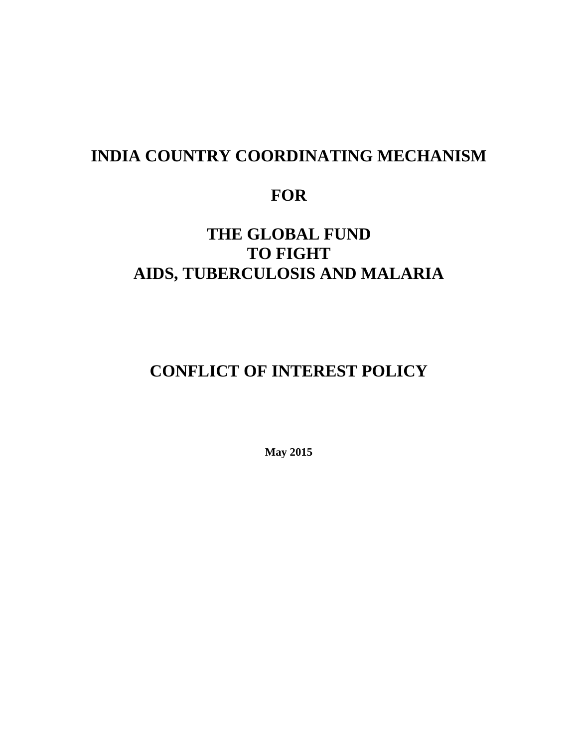## **INDIA COUNTRY COORDINATING MECHANISM**

## **FOR**

## **THE GLOBAL FUND TO FIGHT AIDS, TUBERCULOSIS AND MALARIA**

# **CONFLICT OF INTEREST POLICY**

**May 2015**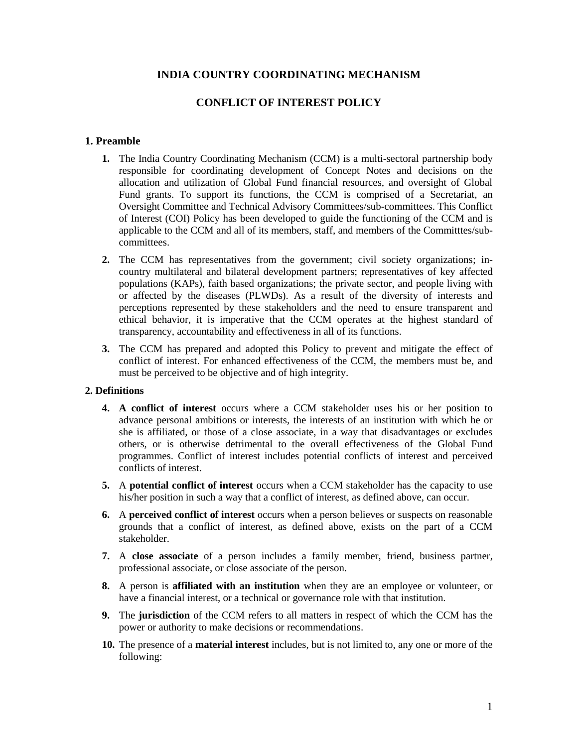## **INDIA COUNTRY COORDINATING MECHANISM**

## **CONFLICT OF INTEREST POLICY**

#### **1. Preamble**

- **1.** The India Country Coordinating Mechanism (CCM) is a multi-sectoral partnership body responsible for coordinating development of Concept Notes and decisions on the allocation and utilization of Global Fund financial resources, and oversight of Global Fund grants. To support its functions, the CCM is comprised of a Secretariat, an Oversight Committee and Technical Advisory Committees/sub-committees. This Conflict of Interest (COI) Policy has been developed to guide the functioning of the CCM and is applicable to the CCM and all of its members, staff, and members of the Committtes/subcommittees.
- **2.** The CCM has representatives from the government; civil society organizations; incountry multilateral and bilateral development partners; representatives of key affected populations (KAPs), faith based organizations; the private sector, and people living with or affected by the diseases (PLWDs). As a result of the diversity of interests and perceptions represented by these stakeholders and the need to ensure transparent and ethical behavior, it is imperative that the CCM operates at the highest standard of transparency, accountability and effectiveness in all of its functions.
- **3.** The CCM has prepared and adopted this Policy to prevent and mitigate the effect of conflict of interest. For enhanced effectiveness of the CCM, the members must be, and must be perceived to be objective and of high integrity.

#### **2. Definitions**

- **4. A conflict of interest** occurs where a CCM stakeholder uses his or her position to advance personal ambitions or interests, the interests of an institution with which he or she is affiliated, or those of a close associate, in a way that disadvantages or excludes others, or is otherwise detrimental to the overall effectiveness of the Global Fund programmes. Conflict of interest includes potential conflicts of interest and perceived conflicts of interest.
- **5.** A **potential conflict of interest** occurs when a CCM stakeholder has the capacity to use his/her position in such a way that a conflict of interest, as defined above, can occur.
- **6.** A **perceived conflict of interest** occurs when a person believes or suspects on reasonable grounds that a conflict of interest, as defined above, exists on the part of a CCM stakeholder.
- **7.** A **close associate** of a person includes a family member, friend, business partner, professional associate, or close associate of the person.
- **8.** A person is **affiliated with an institution** when they are an employee or volunteer, or have a financial interest, or a technical or governance role with that institution.
- **9.** The **jurisdiction** of the CCM refers to all matters in respect of which the CCM has the power or authority to make decisions or recommendations.
- **10.** The presence of a **material interest** includes, but is not limited to, any one or more of the following: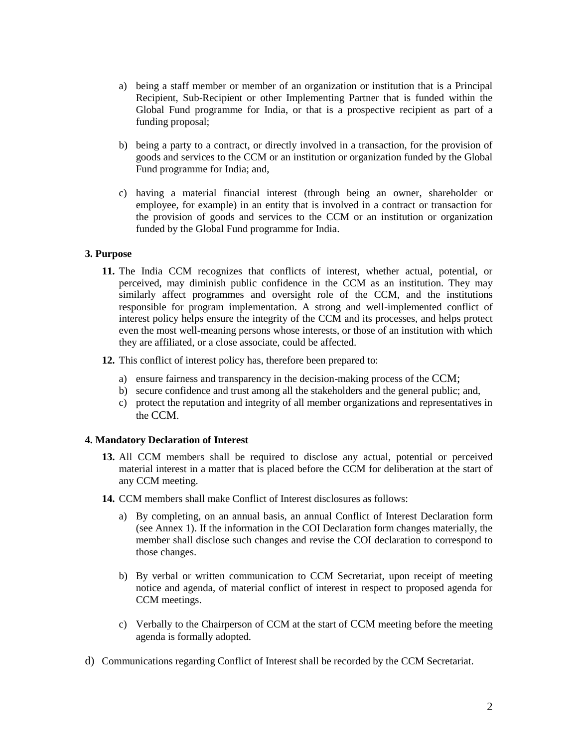- a) being a staff member or member of an organization or institution that is a Principal Recipient, Sub-Recipient or other Implementing Partner that is funded within the Global Fund programme for India, or that is a prospective recipient as part of a funding proposal;
- b) being a party to a contract, or directly involved in a transaction, for the provision of goods and services to the CCM or an institution or organization funded by the Global Fund programme for India; and,
- c) having a material financial interest (through being an owner, shareholder or employee, for example) in an entity that is involved in a contract or transaction for the provision of goods and services to the CCM or an institution or organization funded by the Global Fund programme for India.

## **3. Purpose**

- **11.** The India CCM recognizes that conflicts of interest, whether actual, potential, or perceived, may diminish public confidence in the CCM as an institution. They may similarly affect programmes and oversight role of the CCM, and the institutions responsible for program implementation. A strong and well-implemented conflict of interest policy helps ensure the integrity of the CCM and its processes, and helps protect even the most well-meaning persons whose interests, or those of an institution with which they are affiliated, or a close associate, could be affected.
- **12.** This conflict of interest policy has, therefore been prepared to:
	- a) ensure fairness and transparency in the decision-making process of the CCM;
	- b) secure confidence and trust among all the stakeholders and the general public; and,
	- c) protect the reputation and integrity of all member organizations and representatives in the CCM.

## **4. Mandatory Declaration of Interest**

- **13.** All CCM members shall be required to disclose any actual, potential or perceived material interest in a matter that is placed before the CCM for deliberation at the start of any CCM meeting.
- **14.** CCM members shall make Conflict of Interest disclosures as follows:
	- a) By completing, on an annual basis, an annual Conflict of Interest Declaration form (see Annex 1). If the information in the COI Declaration form changes materially, the member shall disclose such changes and revise the COI declaration to correspond to those changes.
	- b) By verbal or written communication to CCM Secretariat, upon receipt of meeting notice and agenda, of material conflict of interest in respect to proposed agenda for CCM meetings.
	- c) Verbally to the Chairperson of CCM at the start of CCM meeting before the meeting agenda is formally adopted.
- d) Communications regarding Conflict of Interest shall be recorded by the CCM Secretariat.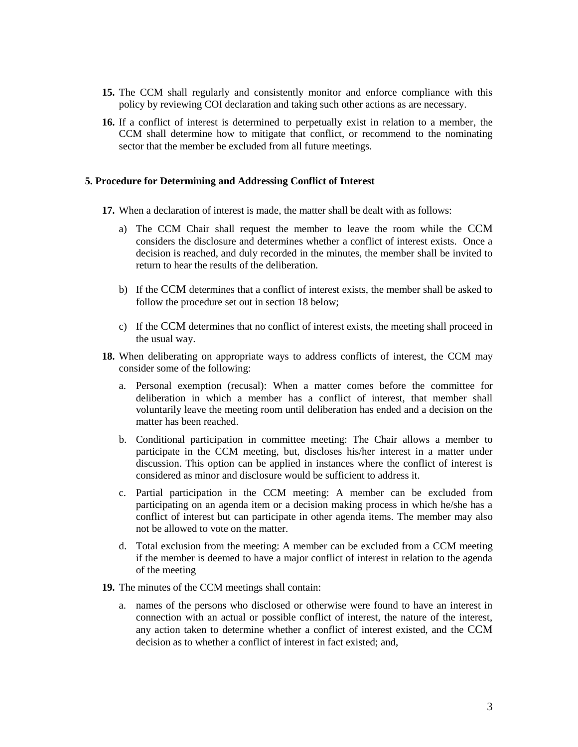- **15.** The CCM shall regularly and consistently monitor and enforce compliance with this policy by reviewing COI declaration and taking such other actions as are necessary.
- **16.** If a conflict of interest is determined to perpetually exist in relation to a member, the CCM shall determine how to mitigate that conflict, or recommend to the nominating sector that the member be excluded from all future meetings.

### **5. Procedure for Determining and Addressing Conflict of Interest**

- **17.** When a declaration of interest is made, the matter shall be dealt with as follows:
	- a) The CCM Chair shall request the member to leave the room while the CCM considers the disclosure and determines whether a conflict of interest exists. Once a decision is reached, and duly recorded in the minutes, the member shall be invited to return to hear the results of the deliberation.
	- b) If the CCM determines that a conflict of interest exists, the member shall be asked to follow the procedure set out in section 18 below;
	- c) If the CCM determines that no conflict of interest exists, the meeting shall proceed in the usual way.
- **18.** When deliberating on appropriate ways to address conflicts of interest, the CCM may consider some of the following:
	- a. Personal exemption (recusal): When a matter comes before the committee for deliberation in which a member has a conflict of interest, that member shall voluntarily leave the meeting room until deliberation has ended and a decision on the matter has been reached.
	- b. Conditional participation in committee meeting: The Chair allows a member to participate in the CCM meeting, but, discloses his/her interest in a matter under discussion. This option can be applied in instances where the conflict of interest is considered as minor and disclosure would be sufficient to address it.
	- c. Partial participation in the CCM meeting: A member can be excluded from participating on an agenda item or a decision making process in which he/she has a conflict of interest but can participate in other agenda items. The member may also not be allowed to vote on the matter.
	- d. Total exclusion from the meeting: A member can be excluded from a CCM meeting if the member is deemed to have a major conflict of interest in relation to the agenda of the meeting
- **19.** The minutes of the CCM meetings shall contain:
	- a. names of the persons who disclosed or otherwise were found to have an interest in connection with an actual or possible conflict of interest, the nature of the interest, any action taken to determine whether a conflict of interest existed, and the CCM decision as to whether a conflict of interest in fact existed; and,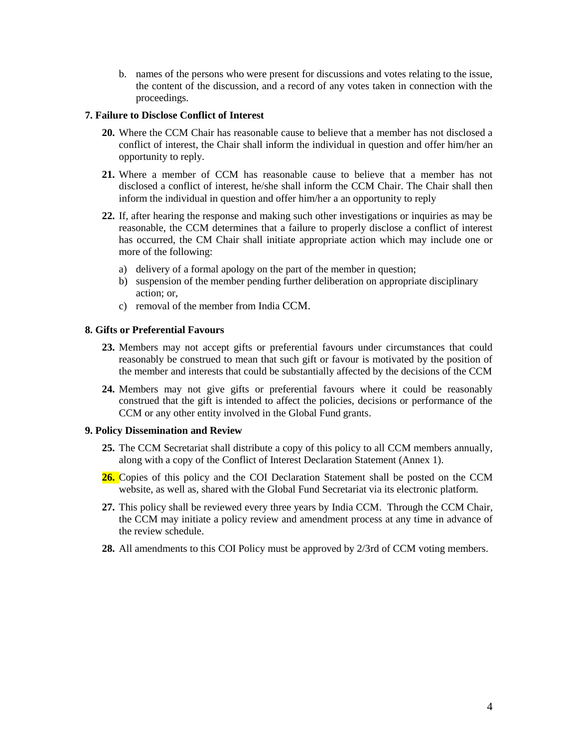b. names of the persons who were present for discussions and votes relating to the issue, the content of the discussion, and a record of any votes taken in connection with the proceedings.

### **7. Failure to Disclose Conflict of Interest**

- **20.** Where the CCM Chair has reasonable cause to believe that a member has not disclosed a conflict of interest, the Chair shall inform the individual in question and offer him/her an opportunity to reply.
- **21.** Where a member of CCM has reasonable cause to believe that a member has not disclosed a conflict of interest, he/she shall inform the CCM Chair. The Chair shall then inform the individual in question and offer him/her a an opportunity to reply
- **22.** If, after hearing the response and making such other investigations or inquiries as may be reasonable, the CCM determines that a failure to properly disclose a conflict of interest has occurred, the CM Chair shall initiate appropriate action which may include one or more of the following:
	- a) delivery of a formal apology on the part of the member in question;
	- b) suspension of the member pending further deliberation on appropriate disciplinary action; or,
	- c) removal of the member from India CCM.

### **8. Gifts or Preferential Favours**

- **23.** Members may not accept gifts or preferential favours under circumstances that could reasonably be construed to mean that such gift or favour is motivated by the position of the member and interests that could be substantially affected by the decisions of the CCM
- **24.** Members may not give gifts or preferential favours where it could be reasonably construed that the gift is intended to affect the policies, decisions or performance of the CCM or any other entity involved in the Global Fund grants.

## **9. Policy Dissemination and Review**

- **25.** The CCM Secretariat shall distribute a copy of this policy to all CCM members annually, along with a copy of the Conflict of Interest Declaration Statement (Annex 1).
- **26.** Copies of this policy and the COI Declaration Statement shall be posted on the CCM website, as well as, shared with the Global Fund Secretariat via its electronic platform.
- **27.** This policy shall be reviewed every three years by India CCM. Through the CCM Chair, the CCM may initiate a policy review and amendment process at any time in advance of the review schedule.
- **28.** All amendments to this COI Policy must be approved by 2/3rd of CCM voting members.